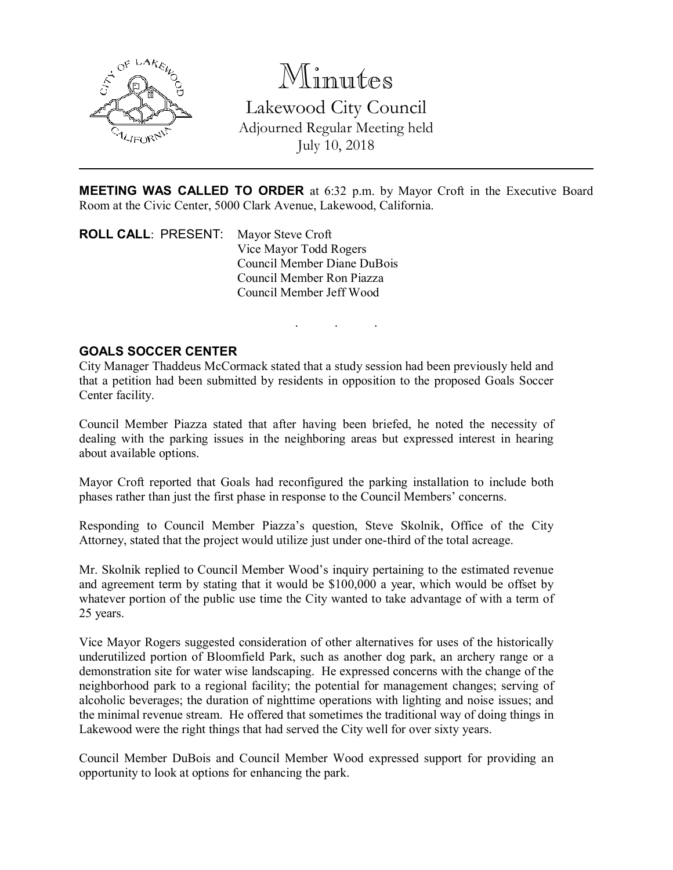

Minutes Lakewood City Council Adjourned Regular Meeting held July 10, 2018

MEETING WAS CALLED TO ORDER at 6:32 p.m. by Mayor Croft in the Executive Board Room at the Civic Center, 5000 Clark Avenue, Lakewood, California.

. . .

ROLL CALL: PRESENT: Mayor Steve Croft Vice Mayor Todd Rogers Council Member Diane DuBois Council Member Ron Piazza Council Member Jeff Wood

## GOALS SOCCER CENTER

City Manager Thaddeus McCormack stated that a study session had been previously held and that a petition had been submitted by residents in opposition to the proposed Goals Soccer Center facility.

Council Member Piazza stated that after having been briefed, he noted the necessity of dealing with the parking issues in the neighboring areas but expressed interest in hearing about available options.

Mayor Croft reported that Goals had reconfigured the parking installation to include both phases rather than just the first phase in response to the Council Members' concerns.

Responding to Council Member Piazza's question, Steve Skolnik, Office of the City Attorney, stated that the project would utilize just under one-third of the total acreage.

Mr. Skolnik replied to Council Member Wood's inquiry pertaining to the estimated revenue and agreement term by stating that it would be \$100,000 a year, which would be offset by whatever portion of the public use time the City wanted to take advantage of with a term of 25 years.

Vice Mayor Rogers suggested consideration of other alternatives for uses of the historically underutilized portion of Bloomfield Park, such as another dog park, an archery range or a demonstration site for water wise landscaping. He expressed concerns with the change of the neighborhood park to a regional facility; the potential for management changes; serving of alcoholic beverages; the duration of nighttime operations with lighting and noise issues; and the minimal revenue stream. He offered that sometimes the traditional way of doing things in Lakewood were the right things that had served the City well for over sixty years.

Council Member DuBois and Council Member Wood expressed support for providing an opportunity to look at options for enhancing the park.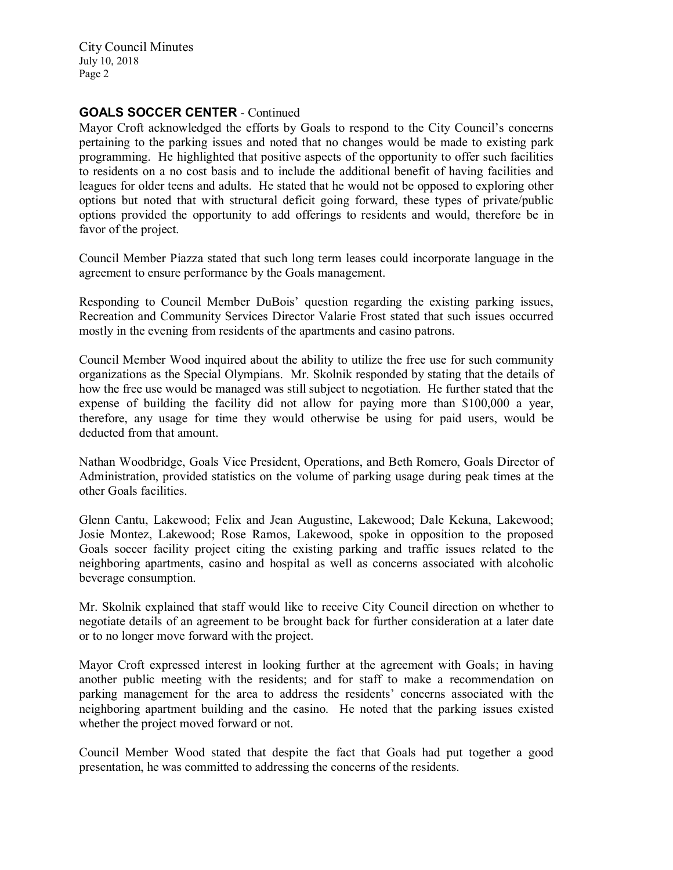City Council Minutes July 10, 2018 Page 2

# GOALS SOCCER CENTER - Continued

Mayor Croft acknowledged the efforts by Goals to respond to the City Council's concerns pertaining to the parking issues and noted that no changes would be made to existing park programming. He highlighted that positive aspects of the opportunity to offer such facilities to residents on a no cost basis and to include the additional benefit of having facilities and leagues for older teens and adults. He stated that he would not be opposed to exploring other options but noted that with structural deficit going forward, these types of private/public options provided the opportunity to add offerings to residents and would, therefore be in favor of the project.

Council Member Piazza stated that such long term leases could incorporate language in the agreement to ensure performance by the Goals management.

Responding to Council Member DuBois' question regarding the existing parking issues, Recreation and Community Services Director Valarie Frost stated that such issues occurred mostly in the evening from residents of the apartments and casino patrons.

Council Member Wood inquired about the ability to utilize the free use for such community organizations as the Special Olympians. Mr. Skolnik responded by stating that the details of how the free use would be managed was still subject to negotiation. He further stated that the expense of building the facility did not allow for paying more than \$100,000 a year, therefore, any usage for time they would otherwise be using for paid users, would be deducted from that amount.

Nathan Woodbridge, Goals Vice President, Operations, and Beth Romero, Goals Director of Administration, provided statistics on the volume of parking usage during peak times at the other Goals facilities.

Glenn Cantu, Lakewood; Felix and Jean Augustine, Lakewood; Dale Kekuna, Lakewood; Josie Montez, Lakewood; Rose Ramos, Lakewood, spoke in opposition to the proposed Goals soccer facility project citing the existing parking and traffic issues related to the neighboring apartments, casino and hospital as well as concerns associated with alcoholic beverage consumption.

Mr. Skolnik explained that staff would like to receive City Council direction on whether to negotiate details of an agreement to be brought back for further consideration at a later date or to no longer move forward with the project.

Mayor Croft expressed interest in looking further at the agreement with Goals; in having another public meeting with the residents; and for staff to make a recommendation on parking management for the area to address the residents' concerns associated with the neighboring apartment building and the casino. He noted that the parking issues existed whether the project moved forward or not.

Council Member Wood stated that despite the fact that Goals had put together a good presentation, he was committed to addressing the concerns of the residents.